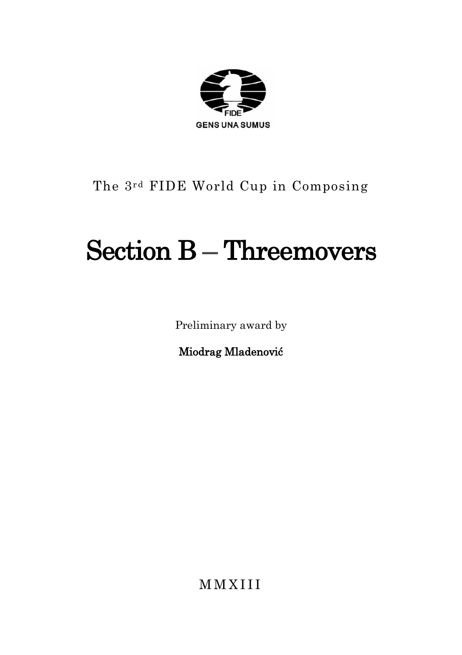

# The 3rd FIDE World Cup in Composing

# Section B – Threemovers

Preliminary award by

Miodrag Mladenović

M M X I I I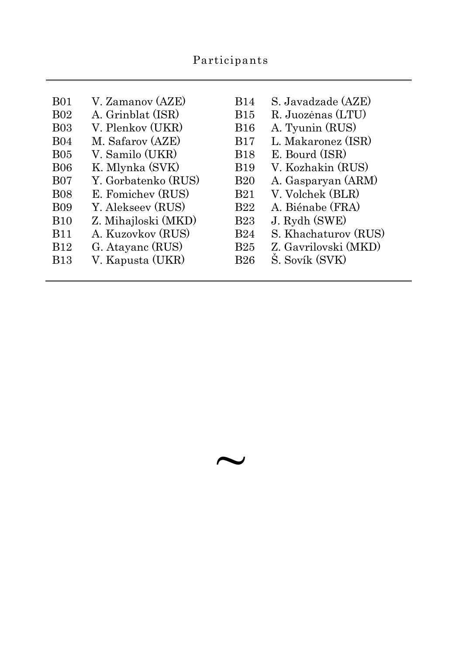| <b>B01</b>  | V. Zamanov (AZE)    | <b>B</b> 14 | S. Javadzade (AZE)   |
|-------------|---------------------|-------------|----------------------|
| <b>B02</b>  | A. Grinblat (ISR)   | <b>B</b> 15 | R. Juozėnas (LTU)    |
| <b>B03</b>  | V. Plenkov (UKR)    | <b>B</b> 16 | A. Tyunin (RUS)      |
| <b>B04</b>  | M. Safarov (AZE)    | <b>B</b> 17 | L. Makaronez (ISR)   |
| <b>B05</b>  | V. Samilo (UKR)     | <b>B</b> 18 | E. Bourd (ISR)       |
| <b>B06</b>  | K. Mlynka (SVK)     | <b>B</b> 19 | V. Kozhakin (RUS)    |
| <b>B07</b>  | Y. Gorbatenko (RUS) | <b>B20</b>  | A. Gasparyan (ARM)   |
| <b>B08</b>  | E. Fomichev (RUS)   | <b>B21</b>  | V. Volchek (BLR)     |
| <b>B09</b>  | Y. Alekseev (RUS)   | <b>B22</b>  | A. Biénabe (FRA)     |
| <b>B</b> 10 | Z. Mihajloski (MKD) | <b>B23</b>  | J. Rydh (SWE)        |
| <b>B</b> 11 | A. Kuzovkov (RUS)   | <b>B24</b>  | S. Khachaturov (RUS) |
| <b>B</b> 12 | G. Atayanc (RUS)    | <b>B25</b>  | Z. Gavrilovski (MKD) |
| <b>B</b> 13 | V. Kapusta (UKR)    | B26         | S. Sovík (SVK)       |
|             |                     |             |                      |

 $\sim$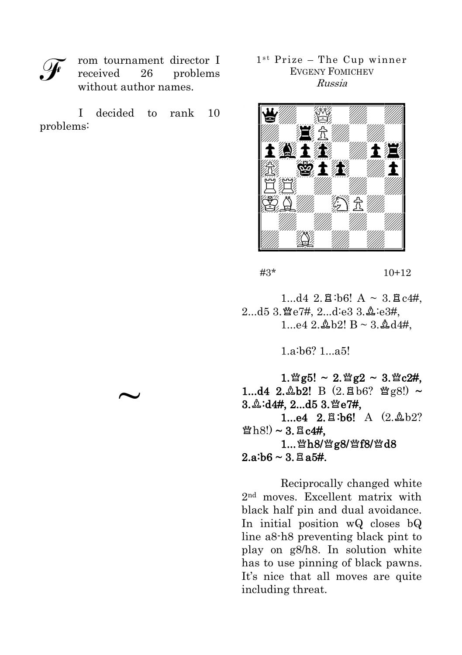rom tournament director I received 26 problems without author names.

I decided to rank 10 problems:

 $\sim$ 

1st Prize - The Cup winner EVGENY FOMICHEV Russia



#3\* 10+12

 $1...d4$  2. $\Xi$  b6! A ~ 3. $\Xi$  c4#.  $2...d5$  3.  $\mathfrak{B}e7\#$ ,  $2...d$ :e3 3.  $\mathfrak{B}$ :e3#,  $1.942$   $\Delta$  b<sup>2</sup>! B ~ 3. $\Delta$ d<sup>4#</sup>

1.a:b6? 1...a5!

 $1.$  § g5! ~  $2.$  § g2 ~  $3.$  § c2#, 1...d4 2. $\Delta b2!$  B (2. $\Xi b6?$   $\mathfrak{g}_{g8}$ !) ~ 3. 2:d4#, 2...d5 3. 營e7#,  $1...e4$   $2.\overline{2} : b6!$  A  $(2.\Delta b2)$  $\mathcal{B}(s) \sim 3.5$  c4#,  $1...$ 營 $h8/$ 營 $g8/$ 營 $f8/$ 營 $d8$  $2.a:b6 \sim 3.Ba5#$ .

Reciprocally changed white 2nd moves. Excellent matrix with black half pin and dual avoidance. In initial position wQ closes bQ line a8-h8 preventing black pint to play on g8/h8. In solution white has to use pinning of black pawns. It's nice that all moves are quite including threat.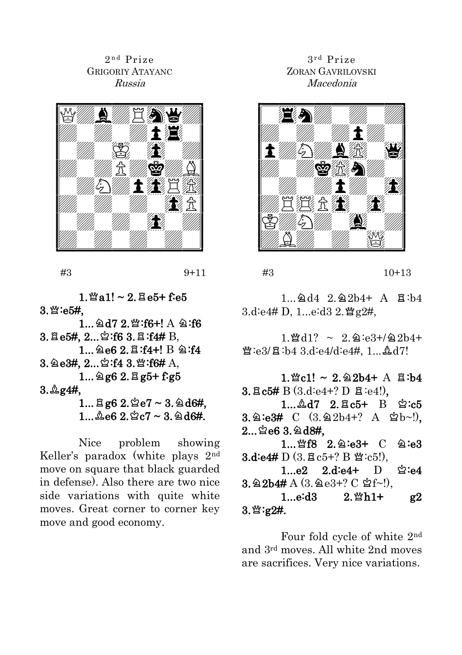2<sup>nd</sup> Prize GRIGORIY ATAYANC Russia



#3 9+11

 $1.$   $\%$  a1! ~ 2.  $\%$  e5+ f:e5  $3.$  $\%$ :e5 $#$ ,

 $1...$  ad7 2. \cdots : f6+! A a:f6  $3. \text{Be5#}, 2...$  $\text{2:f6 } 3. \text{B:f4# B}.$  $1...$  @e6 2. $E: f4+$ ! B @:f4  $3.2e3#$ ,  $2...2:143$ . 2:16# A,  $1...$   $2g6$   $2.$   $Eg5+$   $f:g5$  $3.$   $2.94#$ .  $1...$   $8g6$   $2.\n%$   $2e7$   $\sim$   $3.\n%$   $46#$ ,  $1...$  $2e6$   $2.\,$  $2c7$   $\sim$   $3.\,$   $2dd6#$ .

Nice problem showing Keller's paradox (white plays 2nd move on square that black guarded in defense). Also there are two nice side variations with quite white moves. Great corner to corner key move and good economy.

# 3 r d Prize ZORAN GAVRILOVSKI Macedonia



#3 10+13

 $1.9d4 2.92h4+ A 7h3.$  $3.d$ :e4# D, 1...e:d3 2.  $\mathcal{Q}$ g2#,

 $1.$  Med $1? \sim 2.$  Q:e3+/22b4+  $\mathfrak{B}:e3/\mathfrak{A}:h4 \;3 \;d:e4/d:e4\#, 1 \;3 \;d7!$ 

 $1.$  @c1! ~ 2. 22b4+ A  $\Xi$ : b4  $3. \text{B}$  c5# B (3.d:e4+? D  $\Xi$ :e4!).  $1...$  $2d7$   $2.\overline{2}c5+$  B  $2: c5$  $3.\hat{a}$ :e3#  $C$  (3. $\hat{a}$ 2b4+? A  $\hat{a}$ b~!),  $2...$  $2e63.2d8#$ . 1... \f8 2. 2:e3+ C 2:e3  $3. d: e4# D$   $(3. \boxtimes c5+)$   $B \cong c5!)$ .  $1...e2$   $2.die4+$   $D$   $2:e4$  $3.2b4# A (3.2e3+? C 2f~).$  $1...e: d3$   $2.$   $2n+1+$   $g2$  $3.$   $\mathfrak{B}:\mathfrak{g}2\mathfrak{H}.$ 

Four fold cycle of white 2nd and 3rd moves. All white 2nd moves are sacrifices. Very nice variations.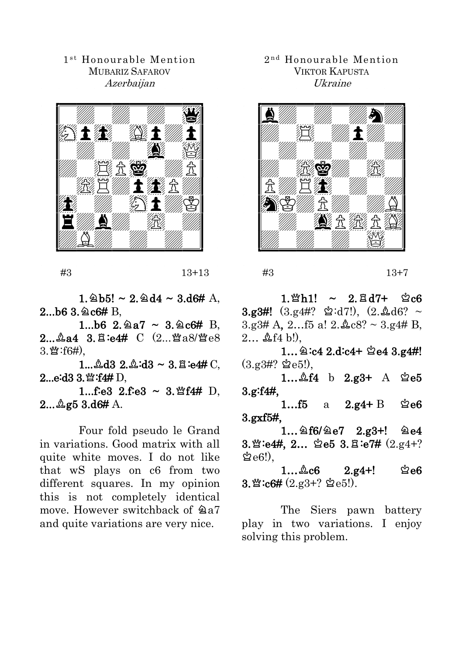1<sup>st</sup> Honourable Mention MUBARIZ SAFAROV Azerbaijan



#3 13+13

 $1.\,\&\,5! \sim 2.\,\&\,44 \sim 3.46\#\;A.$  $2...$ b6 3. $@c6# B$ ,

1...b6  $2.2a7 \sim 3.2c6# B$  $2...$  $2.44$   $3.5$ : $e4#$   $C$   $(2...$  $4.8)$  $e8$  $3.$   $\mathfrak{B}$  :  $f6\#$ ),

1... $\triangle$ d3 2. $\triangle$ :d3 ~ 3. $\triangle$ :e4# C,  $2...e: d3.3$ ,  $\mathfrak{B}$ :f4# D,

1...f:e3  $2.f$ :e3 ~ 3. \f4# D,  $2...$  $2g5$   $3.d6#$  A.

Four fold pseudo le Grand in variations. Good matrix with all quite white moves. I do not like that wS plays on c6 from two different squares. In my opinion this is not completely identical move. However switchback of  $@a7$ and quite variations are very nice.

2<sup>nd</sup> Honourable Mention VIKTOR KAPUSTA Ukraine



#3 13+7

 $1.$   $\%$  h1! ~ 2.  $\frac{a}{b}$  d7+  $\frac{a}{c}$  c6  $3.93\#!$   $(3.94\#? \& d7!)$ ,  $(2.4d6? \sim$  $3.93#$  A,  $2...$  f5 a!  $2.\&c8? \sim 3.94#$  B.  $2...$   $\Delta$  f4 b!).

 $1...$  @:c4 2.d:c4+  $e$ e4 3.g4#!  $(3.93#?$   $\&e5!)$ .

1… $\&$ f4 b 2.g3+ A  $\&$ e5 3.g:f4#,

1... $f5$  a 2.g4+ B  $\&e6$ 3.gхf5#,

 $1...$   $6/$   $2.$   $g3+$ !  $2.$   $g4$  $3.$  \* :e4#,  $2...$  e5  $3.$   $\Xi$  :e7#  $(2.24+?$  $\&$ e $6$ !).

 $1...$  $2.6$   $2.94+!$   $2.66$  $3.\mathfrak{B}:\c6\# (2.g3+? \&e5!)$ .

The Siers pawn battery play in two variations. I enjoy solving this problem.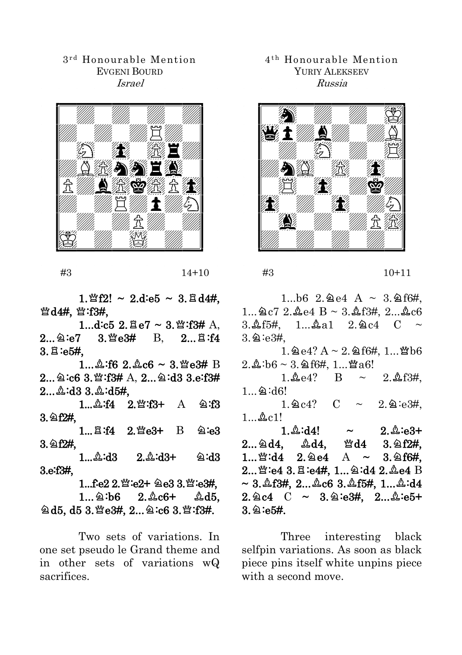#### 3 r d Honourable Mention EVGENI BOURD Israel



#3 14+10

 $1. \mathbb{Q}f2! \sim 2.d$  =  $5 \sim 3. \mathbb{Z} d4#$ .  $\mathbb{S}$ d4#,  $\mathbb{S}$ :f3#,

1...d:c5 2. $Be7 \sim 3.$  2. f3# A,  $2...$   $2.9:e7$   $3.$   $\mathfrak{Re}3\#$  B,  $2...$   $\mathfrak{Re}3.64$  $3.5:65#$ 

 $1...$  $2:62$   $2.2c6 \sim 3$ .  $\text{%}e3# B$  $2...$  2:c6 3.  $\mathfrak{B}$ :f3# A,  $2...$  2:d3 3.e:f3#  $2...$  $2:$ d $3$   $3.$  $2:$ d $5#$ .

1...  $\triangle$ :f4 2. 2: f3+ A 2:f3  $3.962#$ 

 $1...$  $2.4$   $2.$   $2.63+$  B  $2.63$  $3.2f2#$ 

 $1...2: d3$   $2.2: d3+$   $2: d3$ 3.e:f3#,

 $1...$ fe $2.2$ .  $%$ :e $2+$   $2e3.3$ .  $%$ :e $3#$ ,  $1...$  $2:\overline{6}$   $2.\&\overline{6}$   $45.$  $\cong$  d5, d5 3.營e3#, 2... $\cong$  c6 3.營:f3#.

Two sets of variations. In one set pseudo le Grand theme and in other sets of variations wQ sacrifices.

# 4 t h Honourable Mention YURIY ALEKSEEV Russia



#3 10+11

 $1...b6$  2. 2e4 A ~ 3. 2f6#.  $1...$  $2c7$   $2.\&2e4$   $B \sim 3.\&13#$ ,  $2...\&2c6$  $3.45\pm 1.4a1$   $2.9c4$   $C \sim$  $3.9:e3#$ 

 $1.2e4? A \sim 2.2f6#, 1...$  who  $2.2 \text{ h}6 \sim 3.96 \text{ ft}4.1$ ... Wa6!

 $1.$   $\& 64$ ? B ~  $2.$   $\& 63$ #  $1...$   $2:$  d6!

 $1.\,\mathrm{^2C4?} \quad C \sim 2.\,\mathrm{^2C4}.$  $1...$  $2c1!$ 

 $1.\&:d4!$  ~  $2.\&:e3+$  $2...$ 2d4,  $2d4$ ,  $2d4$ ,  $3.2f2#$  $1...$  2.4  $2.$   $2.$   $4$   $A$   $\sim$   $3.$   $2.6$   $4$ ,  $2...$  \si:e4 3. $E$ :e4#, 1... 2:d4 2. $\Delta$ e4 B  $\sim 3.$   $\&$  f3#, 2... $\&$ c6 3. $\&$  f5#, 1... $\&$  :d4  $2.\,$   $2.\,$   $2.\,$   $4.\,$   $C \sim 3.\,$   $2:\,$   $63\,$   $4.\,$   $2...\,$   $2:\,$   $65+$  $3.$   $2:$  e5#.

Three interesting black selfpin variations. As soon as black piece pins itself white unpins piece with a second move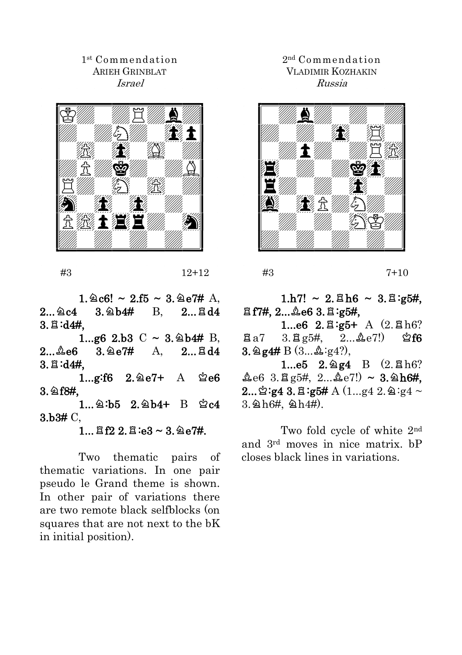# 1 st Commendation ARIEH GRINBLAT Israel



#3 12+12

 $1.\,\text{\textdegreeled{14}} \sim 2.55 \sim 3.\,\text{\textdegreeled{14}} \text{A}$ .  $2...$  $@c4$   $3.264$   $B.$   $2...$  $@d4$  $3.7:14#$ 

1...g6 2.b3  $C \sim 3.264# B$ ,  $2...4e6$   $3.4e7#$  A,  $2...4d4$  $3.8: d4#$ .

1...g:f6  $2.\,2e7+$  A  $\&e6$  $3.$   $2f8#$ .

 $1...$ 2:b5 2.2b4+ B 2c4 3.b3# C,

 $1...$   $Rf2$   $2.$   $R:e3 \sim 3.$   $\&e7\#$ .

Two thematic pairs of thematic variations. In one pair pseudo le Grand theme is shown. In other pair of variations there are two remote black selfblocks (on squares that are not next to the bK in initial position).

# 2 nd Commendation VLADIMIR KOZHAKIN Russia



#3 7+10

 $1.h7! \sim 2.\,\text{E}\,h6 \sim 3.\,\text{E}\,ig5\#,$  $Eff7#$ , 2...  $\&e6$  3.  $E:g5#$ ,

1...e6  $2.\Xi$ :g5+ A  $(2.\Xi)h6$ ?  $\pi_{a7}$  3. $\pi_{g5\#}$  2... $\Lambda_{e7}$ !)  $\Im$  f6  $3.2$  g4# B  $(3...2.2:g4?)$ ,

1...e5  $2.\,$  2.4 B  $(2.\,$  Bh6?  $\text{triangle 6 } 3.\overline{2}$  g5#,  $2...\overline{2}$ e7!) ~ 3. 2h6#.  $2...\overset{6}{2}:\cancel{g4}$  3.  $\Xi$  :  $\cancel{g5H}$  A (1...g4 2.  $\triangleq$  : g4  $\sim$  $3.$   $2h6#$ ,  $2h4#$ ).

Two fold cycle of white 2nd and 3rd moves in nice matrix. bP closes black lines in variations.